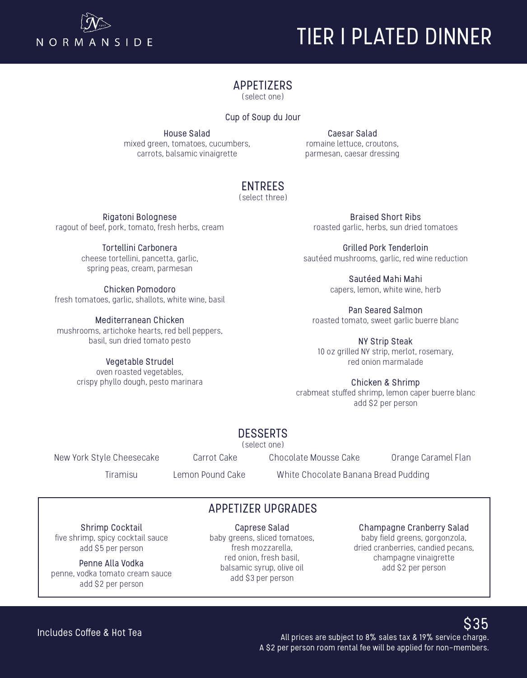

# TIER I PLATED DINNER

#### APPETIZERS

(select one)

Cup of Soup du Jour

House Salad mixed green, tomatoes, cucumbers, carrots, balsamic vinaigrette

Caesar Salad romaine lettuce, croutons, parmesan, caesar dressing

## ENTREES

(select three)

Rigatoni Bolognese ragout of beef, pork, tomato, fresh herbs, cream

> Tortellini Carbonera cheese tortellini, pancetta, garlic, spring peas, cream, parmesan

Chicken Pomodoro fresh tomatoes, garlic, shallots, white wine, basil

Mediterranean Chicken mushrooms, artichoke hearts, red bell peppers, basil, sun dried tomato pesto

> Vegetable Strudel oven roasted vegetables, crispy phyllo dough, pesto marinara

Braised Short Ribs roasted garlic, herbs, sun dried tomatoes

Grilled Pork Tenderloin sautéed mushrooms, garlic, red wine reduction

> Sautéed Mahi Mahi capers, lemon, white wine, herb

Pan Seared Salmon roasted tomato, sweet garlic buerre blanc

NY Strip Steak 10 oz grilled NY strip, merlot, rosemary, red onion marmalade

Chicken & Shrimp crabmeat stuffed shrimp, lemon caper buerre blanc add \$2 per person

## DESSERTS

(select one)

New York Style Cheesecake Carrot Cake Chocolate Mousse Cake Orange Caramel Flan

Tiramisu Lemon Pound Cake White Chocolate Banana Bread Pudding

## APPETIZER UPGRADES

Shrimp Cocktail five shrimp, spicy cocktail sauce add \$5 per person

Penne Alla Vodka penne, vodka tomato cream sauce add \$2 per person

Caprese Salad baby greens, sliced tomatoes, fresh mozzarella, red onion, fresh basil, balsamic syrup, olive oil add \$3 per person

Champagne Cranberry Salad

baby field greens, gorgonzola, dried cranberries, candied pecans, champagne vinaigrette add \$2 per person

Includes Coffee & Hot Tea

 $$35$  All prices are subject to 8% sales tax & 19% service charge. A \$2 per person room rental fee will be applied for non-members.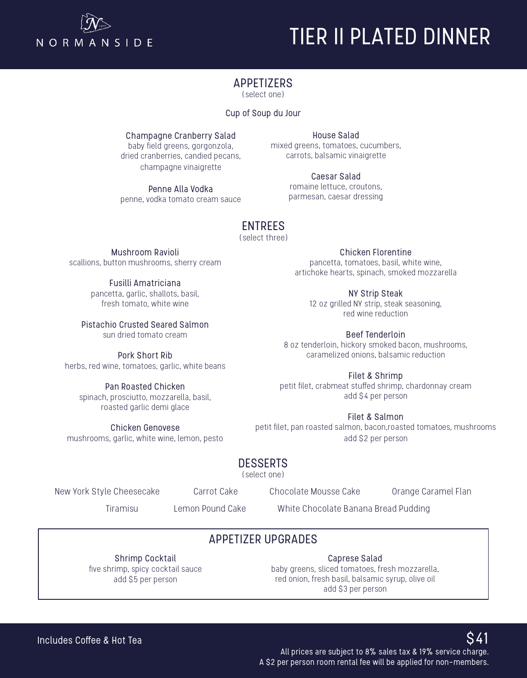

# TIER II PLATED DINNER

#### APPETIZERS

(select one)

#### Cup of Soup du Jour

Champagne Cranberry Salad

baby field greens, gorgonzola, dried cranberries, candied pecans, champagne vinaigrette

Penne Alla Vodka penne, vodka tomato cream sauce

House Salad mixed greens, tomatoes, cucumbers, carrots, balsamic vinaigrette

> Caesar Salad romaine lettuce, croutons, parmesan, caesar dressing

## ENTREES

(select three)

Mushroom Ravioli scallions, button mushrooms, sherry cream

> Fusilli Amatriciana pancetta, garlic, shallots, basil, fresh tomato, white wine

Pistachio Crusted Seared Salmon sun dried tomato cream

Pork Short Rib herbs, red wine, tomatoes, garlic, white beans

Pan Roasted Chicken spinach, prosciutto, mozzarella, basil, roasted garlic demi glace

Chicken Genovese mushrooms, garlic, white wine, lemon, pesto

Chicken Florentine pancetta, tomatoes, basil, white wine, artichoke hearts, spinach, smoked mozzarella

NY Strip Steak 12 oz grilled NY strip, steak seasoning, red wine reduction

Beef Tenderloin 8 oz tenderloin, hickory smoked bacon, mushrooms, caramelized onions, balsamic reduction

Filet & Shrimp petit filet, crabmeat stuffed shrimp, chardonnay cream add \$4 per person

Filet & Salmon petit filet, pan roasted salmon, bacon,roasted tomatoes, mushrooms add \$2 per person

## DESSERTS

(select one)

New York Style Cheesecake Carrot Cake Chocolate Mousse Cake Orange Caramel Flan

Tiramisu Lemon Pound Cake White Chocolate Banana Bread Pudding

## APPETIZER UPGRADES

Shrimp Cocktail five shrimp, spicy cocktail sauce add \$5 per person

Caprese Salad baby greens, sliced tomatoes, fresh mozzarella, red onion, fresh basil, balsamic syrup, olive oil add \$3 per person

All prices are subject to 8% sales tax  $\overline{\text{a}}$  19% service charge. A \$2 per person room rental fee will be applied for non-members.